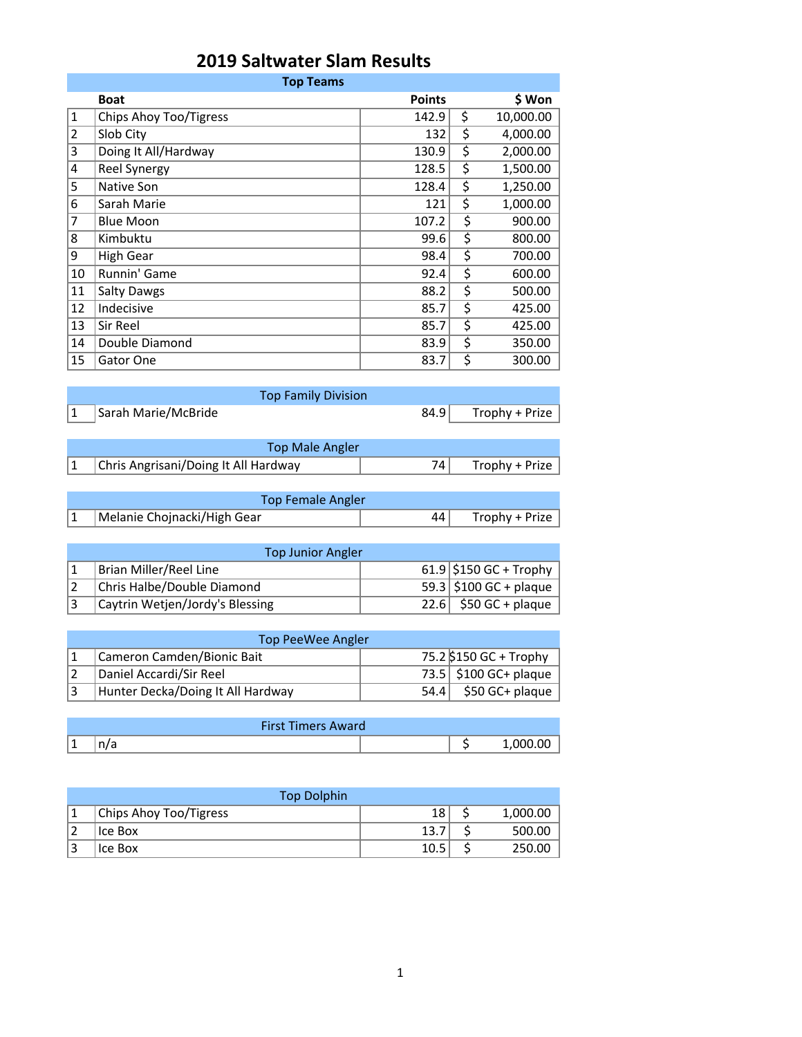## **2019 Saltwater Slam Results**

|                | <b>Top Teams</b>       |               |    |           |  |
|----------------|------------------------|---------------|----|-----------|--|
|                | <b>Boat</b>            | <b>Points</b> |    | \$ Won    |  |
| $\mathbf{1}$   | Chips Ahoy Too/Tigress | 142.9         | \$ | 10,000.00 |  |
| $\overline{2}$ | Slob City              | 132           | \$ | 4,000.00  |  |
| 3              | Doing It All/Hardway   | 130.9         | \$ | 2,000.00  |  |
| 4              | Reel Synergy           | 128.5         | \$ | 1,500.00  |  |
| 5              | Native Son             | 128.4         | \$ | 1,250.00  |  |
| 6              | Sarah Marie            | 121           | \$ | 1,000.00  |  |
| 7              | <b>Blue Moon</b>       | 107.2         | \$ | 900.00    |  |
| 8              | Kimbuktu               | 99.6          | \$ | 800.00    |  |
| 9              | <b>High Gear</b>       | 98.4          | \$ | 700.00    |  |
| 10             | Runnin' Game           | 92.4          | \$ | 600.00    |  |
| 11             | <b>Salty Dawgs</b>     | 88.2          | \$ | 500.00    |  |
| 12             | Indecisive             | 85.7          | \$ | 425.00    |  |
| 13             | Sir Reel               | 85.7          | \$ | 425.00    |  |
| 14             | Double Diamond         | 83.9          | \$ | 350.00    |  |
| 15             | Gator One              | 83.7          | \$ | 300.00    |  |

| <b>Top Family Division</b>           |      |                |
|--------------------------------------|------|----------------|
| Sarah Marie/McBride                  | 84.9 | Trophy + Prize |
|                                      |      |                |
| Top Male Angler                      |      |                |
| Chris Angrisani/Doing It All Hardway | 74   | Trophy + Prize |

| <b>Top Female Angler</b>    |    |                |
|-----------------------------|----|----------------|
| Melanie Chojnacki/High Gear | 44 | Trophy + Prize |

| <b>Top Junior Angler</b> |                                 |  |                                      |  |  |
|--------------------------|---------------------------------|--|--------------------------------------|--|--|
|                          | Brian Miller/Reel Line          |  | 61.9 \$150 GC + Trophy               |  |  |
|                          | Chris Halbe/Double Diamond      |  | 59.3 $\frac{1}{2}$ \$100 GC + plaque |  |  |
|                          | Caytrin Wetjen/Jordy's Blessing |  | 22.6 $$50$ GC + plaque               |  |  |

| Top PeeWee Angler |                                   |  |                                     |  |  |
|-------------------|-----------------------------------|--|-------------------------------------|--|--|
|                   | Cameron Camden/Bionic Bait        |  | 75.2 \$150 GC + Trophy              |  |  |
|                   | Daniel Accardi/Sir Reel           |  | 73.5 $\frac{1}{2}$ \$100 GC+ plaque |  |  |
|                   | Hunter Decka/Doing It All Hardway |  | $54.4$ \$50 GC+ plaque              |  |  |

|          | <b>First Timers Award</b> |  |
|----------|---------------------------|--|
| <b>.</b> | 117 G                     |  |

| <b>Top Dolphin</b>     |      |          |
|------------------------|------|----------|
| Chips Ahoy Too/Tigress | 18   | 1,000.00 |
| Ice Box                | 13.7 | 500.00   |
| Ice Box                | 10.5 | 250.00   |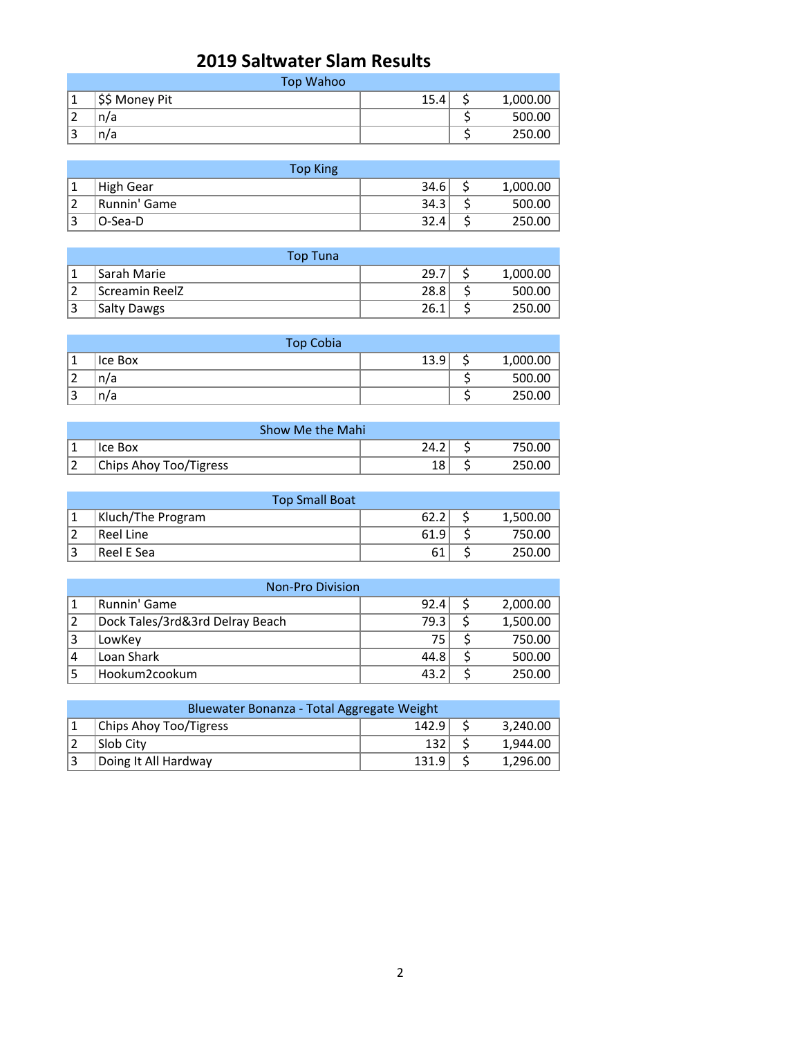## **2019 Saltwater Slam Results**

|                   | Top Wahoo      |      |          |
|-------------------|----------------|------|----------|
|                   | \$\$ Money Pit | 15.4 | 1,000.00 |
| $\mathbf{\hat{}}$ | n/a            |      | 500.00   |
| 3                 | n/a            |      | 250.00   |

|   | <b>Top King</b> |      |          |
|---|-----------------|------|----------|
|   | High Gear       | 34.6 | 1,000.00 |
|   | Runnin' Game    | 34.3 | 500.00   |
| 2 | O-Sea-D         | 32.4 | 250.00   |

| Top Tuna           |      |          |
|--------------------|------|----------|
| Sarah Marie        | 29.7 | 1,000.00 |
| Screamin ReelZ     | 28.8 | 500.00   |
| <b>Salty Dawgs</b> | 26.1 | 250.00   |

|                          | <b>Top Cobia</b> |      |          |
|--------------------------|------------------|------|----------|
|                          | Ice Box          | 13.9 | 1,000.00 |
| ▵                        | n/a              |      | 500.00   |
| $\overline{\phantom{0}}$ | n/a              |      | 250.00   |

| Show Me the Mahi       |      |        |
|------------------------|------|--------|
| 'Ice Box               | 24.2 | 750.00 |
| Chips Ahoy Too/Tigress | 18   | 250.00 |

| <b>Top Small Boat</b> |                   |      |  |          |
|-----------------------|-------------------|------|--|----------|
|                       | Kluch/The Program | 62.2 |  | 1,500.00 |
|                       | Reel Line         | 61.9 |  | 750.00   |
| $\mathbf{\hat{}}$     | Reel E Sea        | 61   |  | 250.00   |

| <b>Non-Pro Division</b> |                                 |      |  |          |  |
|-------------------------|---------------------------------|------|--|----------|--|
|                         | Runnin' Game                    | 92.4 |  | 2,000.00 |  |
| 2                       | Dock Tales/3rd&3rd Delray Beach | 79.3 |  | 1,500.00 |  |
| 13                      | LowKey                          | 75   |  | 750.00   |  |
| 14                      | Loan Shark                      | 44.8 |  | 500.00   |  |
|                         | Hookum2cookum                   | 43.2 |  | 250.00   |  |

| Bluewater Bonanza - Total Aggregate Weight |                        |       |  |          |  |
|--------------------------------------------|------------------------|-------|--|----------|--|
|                                            | Chips Ahoy Too/Tigress | 142.9 |  | 3.240.00 |  |
|                                            | Slob City              | 132   |  | 1.944.00 |  |
|                                            | Doing It All Hardway   | 131.9 |  | 1,296.00 |  |